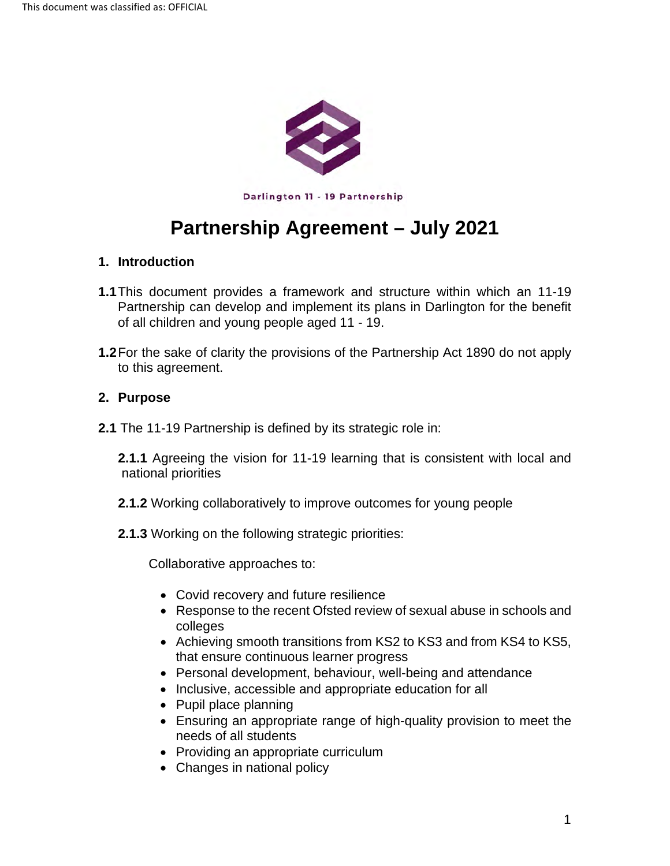

Darlington **11** - 19 Partnership

# **Partnership Agreement – July 2021**

# **1. Introduction**

- **1.1**This document provides a framework and structure within which an 11-19 Partnership can develop and implement its plans in Darlington for the benefit of all children and young people aged 11 - 19.
- **1.2**For the sake of clarity the provisions of the Partnership Act 1890 do not apply to this agreement.

#### **2. Purpose**

**2.1** The 11-19 Partnership is defined by its strategic role in:

**2.1.1** Agreeing the vision for 11-19 learning that is consistent with local and national priorities

- **2.1.2** Working collaboratively to improve outcomes for young people
- **2.1.3** Working on the following strategic priorities:

Collaborative approaches to:

- Covid recovery and future resilience
- Response to the recent Ofsted review of sexual abuse in schools and colleges
- Achieving smooth transitions from KS2 to KS3 and from KS4 to KS5, that ensure continuous learner progress
- Personal development, behaviour, well-being and attendance
- Inclusive, accessible and appropriate education for all
- Pupil place planning
- Ensuring an appropriate range of high-quality provision to meet the needs of all students
- Providing an appropriate curriculum
- Changes in national policy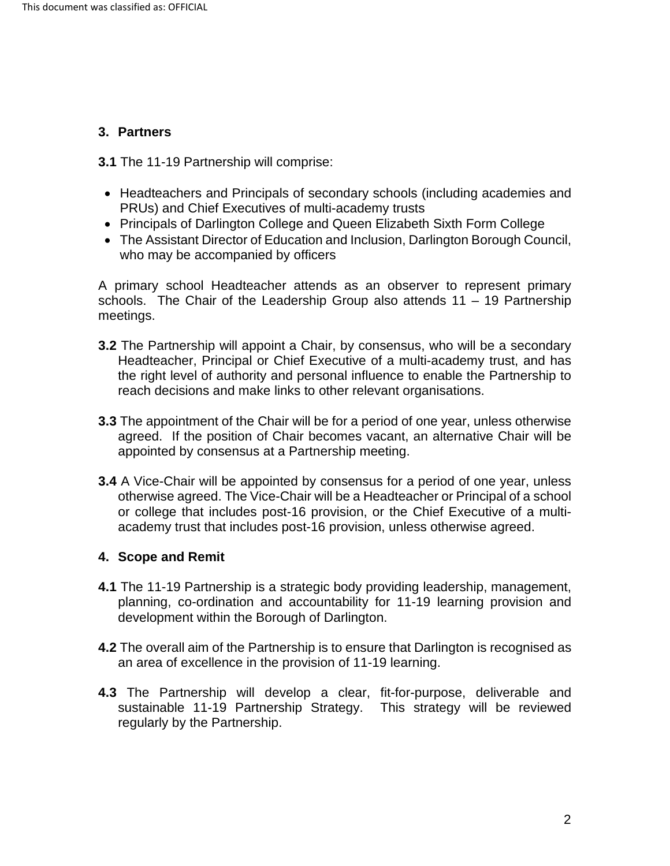# **3. Partners**

**3.1** The 11-19 Partnership will comprise:

- Headteachers and Principals of secondary schools (including academies and PRUs) and Chief Executives of multi-academy trusts
- Principals of Darlington College and Queen Elizabeth Sixth Form College
- The Assistant Director of Education and Inclusion, Darlington Borough Council, who may be accompanied by officers

A primary school Headteacher attends as an observer to represent primary schools. The Chair of the Leadership Group also attends 11 - 19 Partnership meetings.

- **3.2** The Partnership will appoint a Chair, by consensus, who will be a secondary Headteacher, Principal or Chief Executive of a multi-academy trust, and has the right level of authority and personal influence to enable the Partnership to reach decisions and make links to other relevant organisations.
- **3.3** The appointment of the Chair will be for a period of one year, unless otherwise agreed. If the position of Chair becomes vacant, an alternative Chair will be appointed by consensus at a Partnership meeting.
- **3.4** A Vice-Chair will be appointed by consensus for a period of one year, unless otherwise agreed. The Vice-Chair will be a Headteacher or Principal of a school or college that includes post-16 provision, or the Chief Executive of a multiacademy trust that includes post-16 provision, unless otherwise agreed.

# **4. Scope and Remit**

- **4.1** The 11-19 Partnership is a strategic body providing leadership, management, planning, co-ordination and accountability for 11-19 learning provision and development within the Borough of Darlington.
- **4.2** The overall aim of the Partnership is to ensure that Darlington is recognised as an area of excellence in the provision of 11-19 learning.
- **4.3** The Partnership will develop a clear, fit-for-purpose, deliverable and sustainable 11-19 Partnership Strategy. This strategy will be reviewed regularly by the Partnership.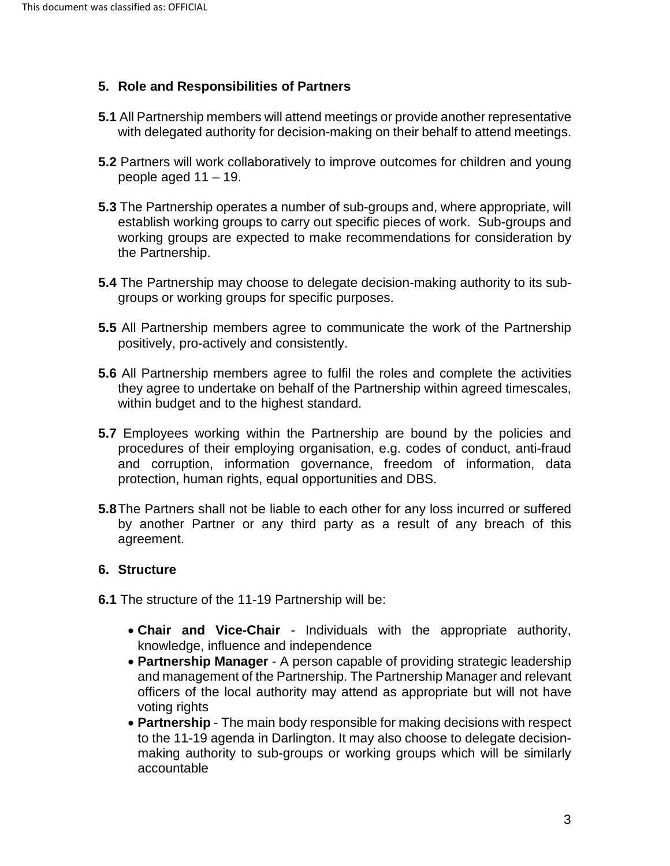# **5. Role and Responsibilities of Partners**

- **5.1** All Partnership members will attend meetings or provide another representative with delegated authority for decision-making on their behalf to attend meetings.
- **5.2** Partners will work collaboratively to improve outcomes for children and young people aged 11 – 19.
- **5.3** The Partnership operates a number of sub-groups and, where appropriate, will establish working groups to carry out specific pieces of work. Sub-groups and working groups are expected to make recommendations for consideration by the Partnership.
- **5.4** The Partnership may choose to delegate decision-making authority to its subgroups or working groups for specific purposes.
- **5.5** All Partnership members agree to communicate the work of the Partnership positively, pro-actively and consistently.
- **5.6** All Partnership members agree to fulfil the roles and complete the activities they agree to undertake on behalf of the Partnership within agreed timescales, within budget and to the highest standard.
- **5.7** Employees working within the Partnership are bound by the policies and procedures of their employing organisation, e.g. codes of conduct, anti-fraud and corruption, information governance, freedom of information, data protection, human rights, equal opportunities and DBS.
- **5.8**The Partners shall not be liable to each other for any loss incurred or suffered by another Partner or any third party as a result of any breach of this agreement.

#### **6. Structure**

- **6.1** The structure of the 11-19 Partnership will be:
	- **Chair and Vice-Chair** Individuals with the appropriate authority, knowledge, influence and independence
	- **Partnership Manager** A person capable of providing strategic leadership and management of the Partnership. The Partnership Manager and relevant officers of the local authority may attend as appropriate but will not have voting rights
	- **Partnership** The main body responsible for making decisions with respect to the 11-19 agenda in Darlington. It may also choose to delegate decisionmaking authority to sub-groups or working groups which will be similarly accountable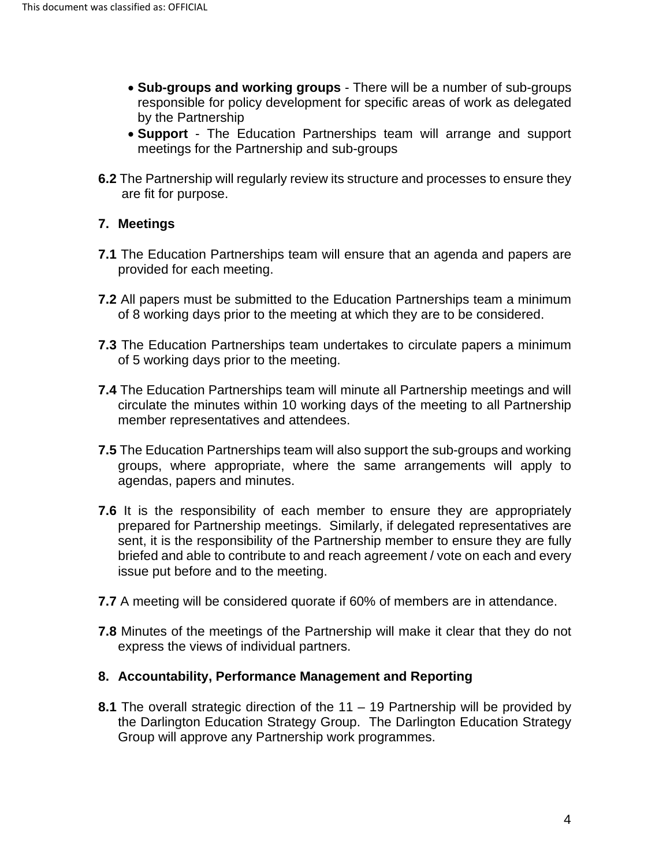- **Sub-groups and working groups** There will be a number of sub-groups responsible for policy development for specific areas of work as delegated by the Partnership
- **Support** The Education Partnerships team will arrange and support meetings for the Partnership and sub-groups
- **6.2** The Partnership will regularly review its structure and processes to ensure they are fit for purpose.

# **7. Meetings**

- **7.1** The Education Partnerships team will ensure that an agenda and papers are provided for each meeting.
- **7.2** All papers must be submitted to the Education Partnerships team a minimum of 8 working days prior to the meeting at which they are to be considered.
- **7.3** The Education Partnerships team undertakes to circulate papers a minimum of 5 working days prior to the meeting.
- **7.4** The Education Partnerships team will minute all Partnership meetings and will circulate the minutes within 10 working days of the meeting to all Partnership member representatives and attendees.
- **7.5** The Education Partnerships team will also support the sub-groups and working groups, where appropriate, where the same arrangements will apply to agendas, papers and minutes.
- **7.6** It is the responsibility of each member to ensure they are appropriately prepared for Partnership meetings. Similarly, if delegated representatives are sent, it is the responsibility of the Partnership member to ensure they are fully briefed and able to contribute to and reach agreement / vote on each and every issue put before and to the meeting.
- **7.7** A meeting will be considered quorate if 60% of members are in attendance.
- **7.8** Minutes of the meetings of the Partnership will make it clear that they do not express the views of individual partners.

# **8. Accountability, Performance Management and Reporting**

**8.1** The overall strategic direction of the 11 – 19 Partnership will be provided by the Darlington Education Strategy Group. The Darlington Education Strategy Group will approve any Partnership work programmes.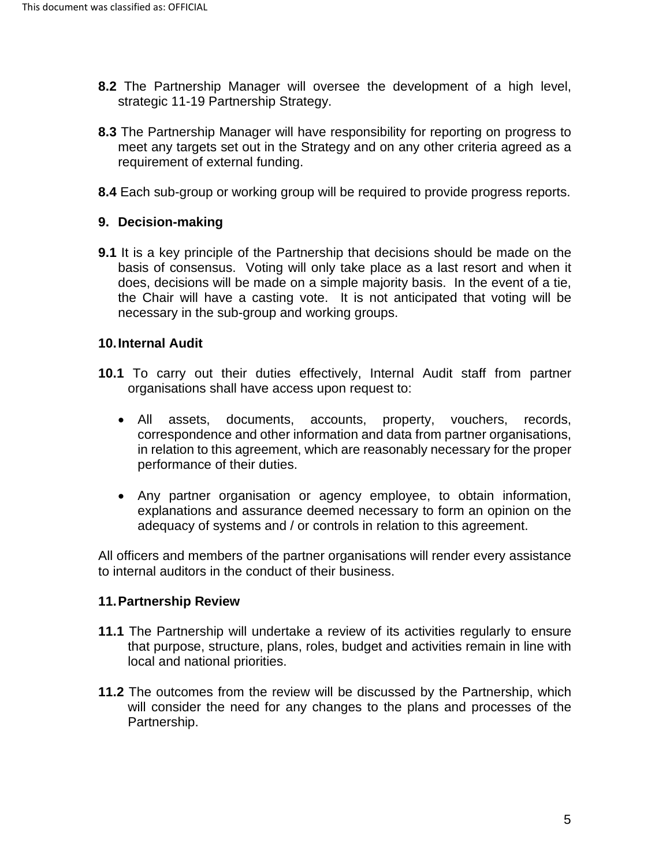- **8.2** The Partnership Manager will oversee the development of a high level, strategic 11-19 Partnership Strategy.
- **8.3** The Partnership Manager will have responsibility for reporting on progress to meet any targets set out in the Strategy and on any other criteria agreed as a requirement of external funding.
- **8.4** Each sub-group or working group will be required to provide progress reports.

# **9. Decision-making**

**9.1** It is a key principle of the Partnership that decisions should be made on the basis of consensus. Voting will only take place as a last resort and when it does, decisions will be made on a simple majority basis. In the event of a tie, the Chair will have a casting vote. It is not anticipated that voting will be necessary in the sub-group and working groups.

#### **10.Internal Audit**

- **10.1** To carry out their duties effectively, Internal Audit staff from partner organisations shall have access upon request to:
	- All assets, documents, accounts, property, vouchers, records, correspondence and other information and data from partner organisations, in relation to this agreement, which are reasonably necessary for the proper performance of their duties.
	- Any partner organisation or agency employee, to obtain information, explanations and assurance deemed necessary to form an opinion on the adequacy of systems and / or controls in relation to this agreement.

All officers and members of the partner organisations will render every assistance to internal auditors in the conduct of their business.

#### **11.Partnership Review**

- **11.1** The Partnership will undertake a review of its activities regularly to ensure that purpose, structure, plans, roles, budget and activities remain in line with local and national priorities.
- **11.2** The outcomes from the review will be discussed by the Partnership, which will consider the need for any changes to the plans and processes of the Partnership.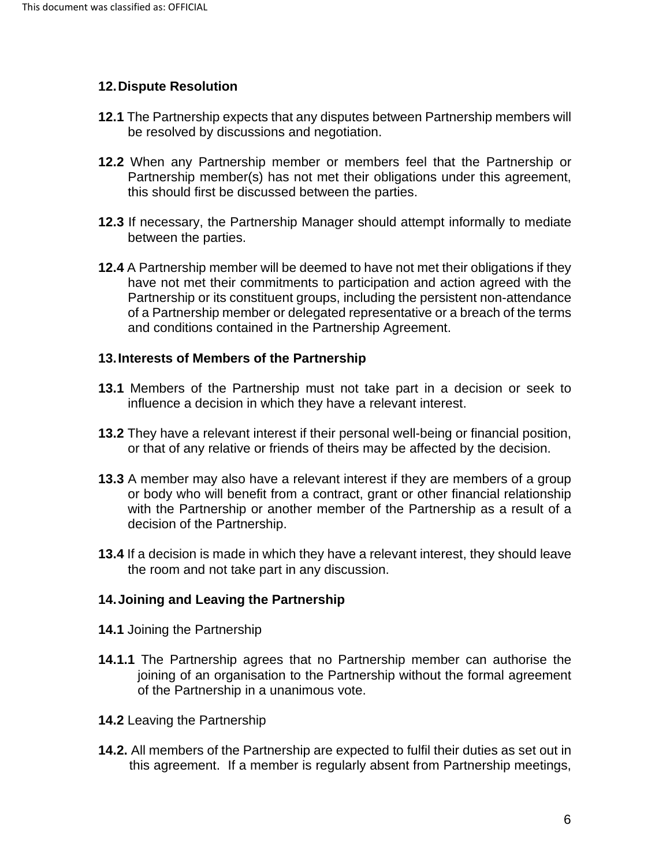### **12.Dispute Resolution**

- **12.1** The Partnership expects that any disputes between Partnership members will be resolved by discussions and negotiation.
- **12.2** When any Partnership member or members feel that the Partnership or Partnership member(s) has not met their obligations under this agreement, this should first be discussed between the parties.
- **12.3** If necessary, the Partnership Manager should attempt informally to mediate between the parties.
- **12.4** A Partnership member will be deemed to have not met their obligations if they have not met their commitments to participation and action agreed with the Partnership or its constituent groups, including the persistent non-attendance of a Partnership member or delegated representative or a breach of the terms and conditions contained in the Partnership Agreement.

#### **13.Interests of Members of the Partnership**

- **13.1** Members of the Partnership must not take part in a decision or seek to influence a decision in which they have a relevant interest.
- **13.2** They have a relevant interest if their personal well-being or financial position, or that of any relative or friends of theirs may be affected by the decision.
- **13.3** A member may also have a relevant interest if they are members of a group or body who will benefit from a contract, grant or other financial relationship with the Partnership or another member of the Partnership as a result of a decision of the Partnership.
- **13.4** If a decision is made in which they have a relevant interest, they should leave the room and not take part in any discussion.

# **14.Joining and Leaving the Partnership**

- **14.1** Joining the Partnership
- **14.1.1** The Partnership agrees that no Partnership member can authorise the joining of an organisation to the Partnership without the formal agreement of the Partnership in a unanimous vote.
- **14.2** Leaving the Partnership
- **14.2.** All members of the Partnership are expected to fulfil their duties as set out in this agreement. If a member is regularly absent from Partnership meetings,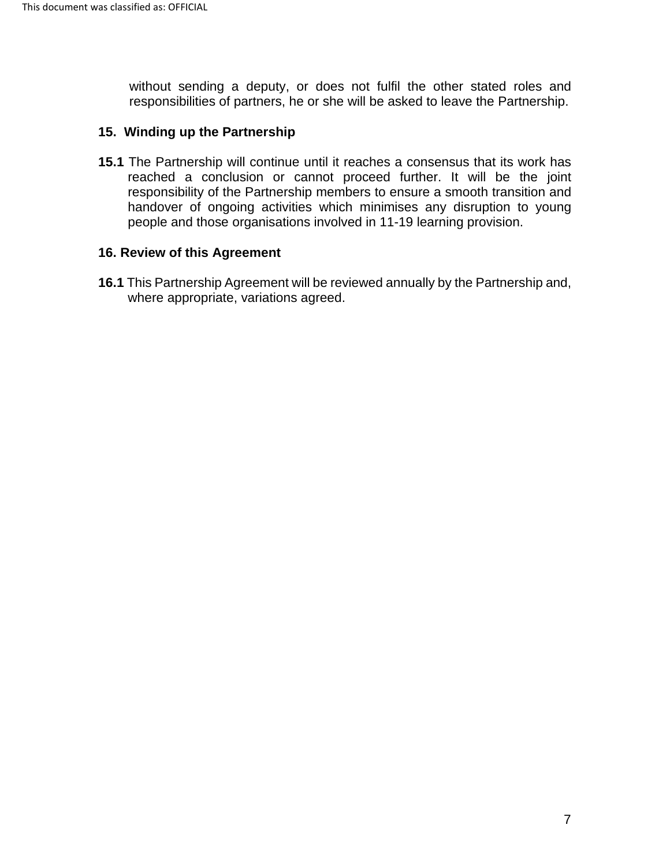without sending a deputy, or does not fulfil the other stated roles and responsibilities of partners, he or she will be asked to leave the Partnership.

#### **15. Winding up the Partnership**

**15.1** The Partnership will continue until it reaches a consensus that its work has reached a conclusion or cannot proceed further. It will be the joint responsibility of the Partnership members to ensure a smooth transition and handover of ongoing activities which minimises any disruption to young people and those organisations involved in 11-19 learning provision.

#### **16. Review of this Agreement**

**16.1** This Partnership Agreement will be reviewed annually by the Partnership and, where appropriate, variations agreed.